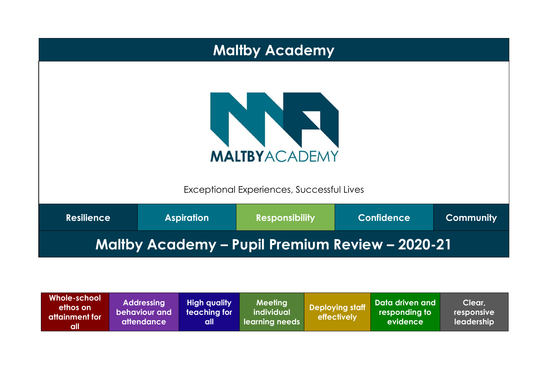|                                                        | <b>Maltby Academy</b>                                             |                       |                   |                  |  |  |  |
|--------------------------------------------------------|-------------------------------------------------------------------|-----------------------|-------------------|------------------|--|--|--|
|                                                        | <b>MALTBYACADEMY</b><br>Exceptional Experiences, Successful Lives |                       |                   |                  |  |  |  |
| <b>Resilience</b>                                      | <b>Aspiration</b>                                                 | <b>Responsibility</b> | <b>Confidence</b> | <b>Community</b> |  |  |  |
| <b>Maltby Academy - Pupil Premium Review - 2020-21</b> |                                                                   |                       |                   |                  |  |  |  |

| Whole-school<br>ethos on<br>attainment for<br>all | <b>Addressing</b><br>behaviour and<br><b>attendance</b> | <b>High quality</b><br>teaching for<br>all | Meeting<br>individual<br>learning needs | <b>Deploying staff</b><br>effectively | Data driven and<br>responding to<br>Levidence l | Clear,<br>responsive<br>leadership |
|---------------------------------------------------|---------------------------------------------------------|--------------------------------------------|-----------------------------------------|---------------------------------------|-------------------------------------------------|------------------------------------|
|---------------------------------------------------|---------------------------------------------------------|--------------------------------------------|-----------------------------------------|---------------------------------------|-------------------------------------------------|------------------------------------|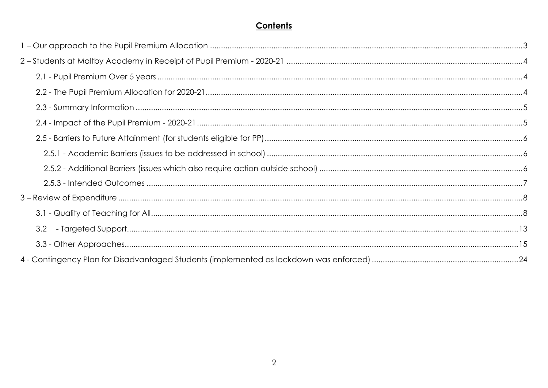# Contents

| 3.2 |  |
|-----|--|
|     |  |
|     |  |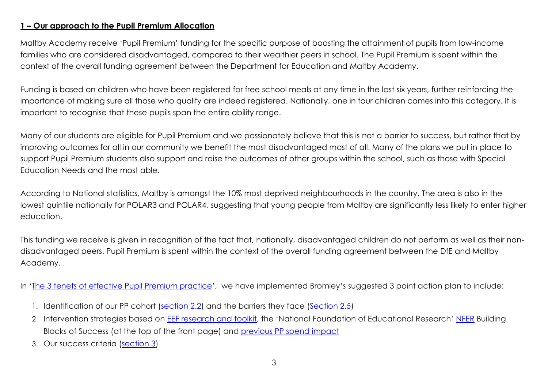#### <span id="page-2-0"></span>**1 – Our approach to the Pupil Premium Allocation**

Maltby Academy receive 'Pupil Premium' funding for the specific purpose of boosting the attainment of pupils from low-income families who are considered disadvantaged, compared to their wealthier peers in school. The Pupil Premium is spent within the context of the overall funding agreement between the Department for Education and Maltby Academy.

Funding is based on children who have been registered for free school meals at any time in the last six years, further reinforcing the importance of making sure all those who qualify are indeed registered. Nationally, one in four children comes into this category. It is important to recognise that these pupils span the entire ability range.

Many of our students are eligible for Pupil Premium and we passionately believe that this is not a barrier to success, but rather that by improving outcomes for all in our community we benefit the most disadvantaged most of all. Many of the plans we put in place to support Pupil Premium students also support and raise the outcomes of other groups within the school, such as those with Special Education Needs and the most able.

According to National statistics, Maltby is amongst the 10% most deprived neighbourhoods in the country. The area is also in the lowest quintile nationally for POLAR3 and POLAR4, suggesting that young people from Maltby are significantly less likely to enter higher education.

This funding we receive is given in recognition of the fact that, nationally, disadvantaged children do not perform as well as their nondisadvantaged peers. Pupil Premium is spent within the context of the overall funding agreement between the DfE and Maltby Academy.

In 'The 3 tenets of [effective Pupil Premium practice](https://assets.markallengroup.com/article-images/219151/PullOut-Sept-PP-SecEd.pdf)', we have implemented Bromley's suggested 3 point action plan to include:

- 1. Identification of our PP cohort [\(section 2.2\)](#page-3-2) and the barriers they face [\(Section 2.5\)](#page-5-0)
- 2. Intervention strategies based on **EEF research and toolkit**, the 'National Foundation of Educational Research' [NFER](https://www.nfer.ac.uk/supporting-the-attainment-of-disadvantaged-pupils-articulating-success-and-good-practice/) Building Blocks of Success (at the top of the front page) and [previous PP spend impact](#page-4-1)
- 3. Our success criteria [\(section 3\)](#page-7-0)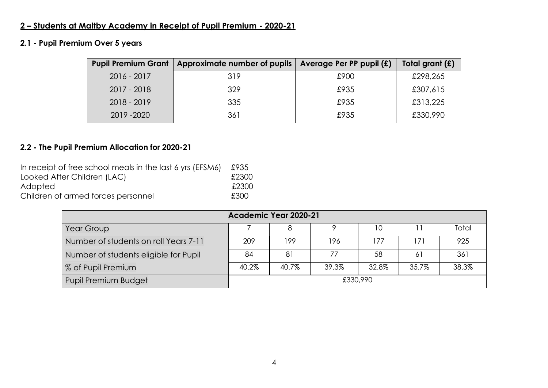# <span id="page-3-0"></span>**2 – Students at Maltby Academy in Receipt of Pupil Premium - 2020-21**

### <span id="page-3-1"></span>**2.1 - Pupil Premium Over 5 years**

| <b>Pupil Premium Grant</b> | Approximate number of pupils | Average Per PP pupil (£) | Total grant (£) |
|----------------------------|------------------------------|--------------------------|-----------------|
| $2016 - 2017$              | 319                          | £900                     | £298,265        |
| $2017 - 2018$              | 329                          | £935                     | £307,615        |
| $2018 - 2019$              | 335                          | £935                     | £313,225        |
| 2019 - 2020                | 361                          | £935                     | £330,990        |

### <span id="page-3-2"></span>**2.2 - The Pupil Premium Allocation for 2020-21**

| In receipt of free school meals in the last 6 yrs (EFSM6) | £935  |
|-----------------------------------------------------------|-------|
| Looked After Children (LAC)                               | £2300 |
| Adopted                                                   | £2300 |
| Children of armed forces personnel                        | £300  |

| Academic Year 2020-21                 |          |       |       |       |                |       |
|---------------------------------------|----------|-------|-------|-------|----------------|-------|
| Year Group                            |          |       |       | 10    |                | Total |
| Number of students on roll Years 7-11 | 209      | 199   | 196   | 177   | $\overline{7}$ | 925   |
| Number of students eligible for Pupil | 84       | 81    | 77    | 58    | 61             | 361   |
| % of Pupil Premium                    | 40.2%    | 40.7% | 39.3% | 32.8% | 35.7%          | 38.3% |
| Pupil Premium Budget                  | £330,990 |       |       |       |                |       |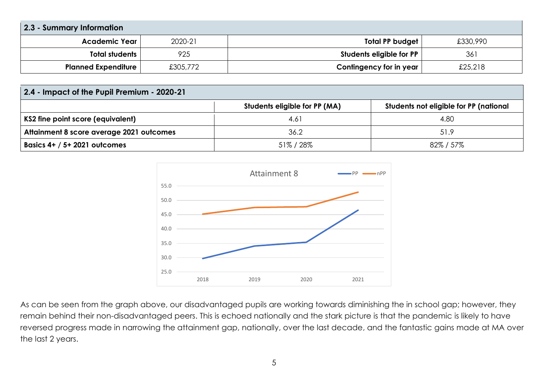<span id="page-4-0"></span>

| 2.3 - Summary Information  |          |                          |          |  |  |
|----------------------------|----------|--------------------------|----------|--|--|
| Academic Year              | 2020-21  | Total PP budget          | £330,990 |  |  |
| Total students             | 925      | Students eligible for PP | 361      |  |  |
| <b>Planned Expenditure</b> | £305,772 | Contingency for in year  | £25,218  |  |  |

<span id="page-4-1"></span>

| 2.4 - Impact of the Pupil Premium - 2020-21 |                               |                                        |  |  |  |  |
|---------------------------------------------|-------------------------------|----------------------------------------|--|--|--|--|
|                                             | Students eligible for PP (MA) | Students not eligible for PP (national |  |  |  |  |
| KS2 fine point score (equivalent)           | 4.61                          | 4.80                                   |  |  |  |  |
| Attainment 8 score average 2021 outcomes    | 36.2                          | 51.9                                   |  |  |  |  |
| Basics 4+ / 5+ 2021 outcomes                | 51%/28%                       | $82\%$ / 57 $\%$                       |  |  |  |  |



As can be seen from the graph above, our disadvantaged pupils are working towards diminishing the in school gap; however, they remain behind their non-disadvantaged peers. This is echoed nationally and the stark picture is that the pandemic is likely to have reversed progress made in narrowing the attainment gap, nationally, over the last decade, and the fantastic gains made at MA over the last 2 years.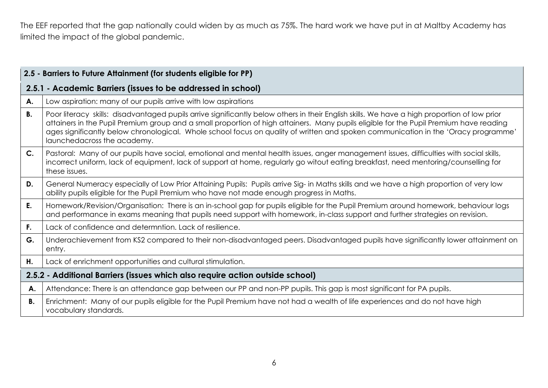The EEF reported that the gap nationally could widen by as much as 75%. The hard work we have put in at Maltby Academy has limited the impact of the global pandemic.

<span id="page-5-2"></span><span id="page-5-1"></span><span id="page-5-0"></span>

|                | 2.5 - Barriers to Future Attainment (for students eligible for PP)                                                                                                                                                                                                                                                                                                                                                                                          |
|----------------|-------------------------------------------------------------------------------------------------------------------------------------------------------------------------------------------------------------------------------------------------------------------------------------------------------------------------------------------------------------------------------------------------------------------------------------------------------------|
|                | 2.5.1 - Academic Barriers (issues to be addressed in school)                                                                                                                                                                                                                                                                                                                                                                                                |
| А.             | Low aspiration: many of our pupils arrive with low aspirations                                                                                                                                                                                                                                                                                                                                                                                              |
| <b>B.</b>      | Poor literacy skills: disadvantaged pupils arrive significantly below others in their English skills. We have a high proportion of low prior<br>attainers in the Pupil Premium group and a small proportion of high attainers. Many pupils eligible for the Pupil Premium have reading<br>ages significantly below chronological. Whole school focus on quality of written and spoken communication in the 'Oracy programme'<br>launchedacross the academy. |
| C <sub>1</sub> | Pastoral: Many of our pupils have social, emotional and mental health issues, anger management issues, difficulties with social skills,<br>incorrect uniform, lack of equipment, lack of support at home, regularly go witout eating breakfast, need mentoring/counselling for<br>these issues.                                                                                                                                                             |
| D.             | General Numeracy especially of Low Prior Attaining Pupils: Pupils arrive Sig- in Maths skills and we have a high proportion of very low<br>ability pupils eligible for the Pupil Premium who have not made enough progress in Maths.                                                                                                                                                                                                                        |
| E.             | Homework/Revision/Organisation: There is an in-school gap for pupils eligible for the Pupil Premium around homework, behaviour logs<br>and performance in exams meaning that pupils need support with homework, in-class support and further strategies on revision.                                                                                                                                                                                        |
| F.             | Lack of confidence and determntion. Lack of resilience.                                                                                                                                                                                                                                                                                                                                                                                                     |
| G.             | Underachievement from KS2 compared to their non-disadvantaged peers. Disadvantaged pupils have significantly lower attainment on<br>entry.                                                                                                                                                                                                                                                                                                                  |
| H.             | Lack of enrichment opportunities and cultural stimulation.                                                                                                                                                                                                                                                                                                                                                                                                  |
|                | 2.5.2 - Additional Barriers (issues which also require action outside school)                                                                                                                                                                                                                                                                                                                                                                               |
| А.             | Attendance: There is an attendance gap between our PP and non-PP pupils. This gap is most significant for PA pupils.                                                                                                                                                                                                                                                                                                                                        |
| В.             | Enrichment: Many of our pupils eligible for the Pupil Premium have not had a wealth of life experiences and do not have high<br>vocabulary standards.                                                                                                                                                                                                                                                                                                       |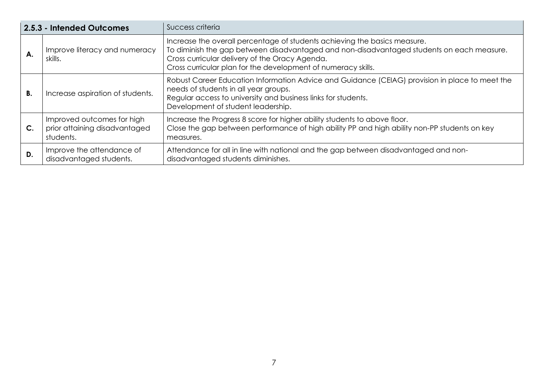<span id="page-6-0"></span>

|               | 2.5.3 - Intended Outcomes                                                | Success criteria                                                                                                                                                                                                                                                                          |
|---------------|--------------------------------------------------------------------------|-------------------------------------------------------------------------------------------------------------------------------------------------------------------------------------------------------------------------------------------------------------------------------------------|
| А.            | Improve literacy and numeracy<br>skills.                                 | Increase the overall percentage of students achieving the basics measure.<br>To diminish the gap between disadvantaged and non-disadvantaged students on each measure.<br>Cross curricular delivery of the Oracy Agenda.<br>Cross curricular plan for the development of numeracy skills. |
| В.            | Increase aspiration of students.                                         | Robust Career Education Information Advice and Guidance (CEIAG) provision in place to meet the<br>needs of students in all year groups.<br>Regular access to university and business links for students.<br>Development of student leadership.                                            |
| $\mathsf{C}.$ | Improved outcomes for high<br>prior attaining disadvantaged<br>students. | Increase the Progress 8 score for higher ability students to above floor.<br>Close the gap between performance of high ability PP and high ability non-PP students on key<br>measures.                                                                                                    |
| D.            | Improve the attendance of<br>disadvantaged students.                     | Attendance for all in line with national and the gap between disadvantaged and non-<br>disadvantaged students diminishes.                                                                                                                                                                 |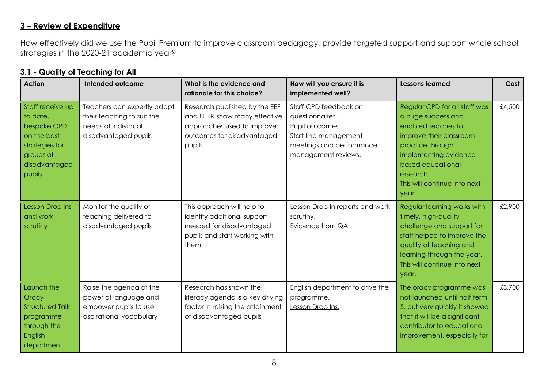### <span id="page-7-0"></span>**3 – Review of Expenditure**

How effectively did we use the Pupil Premium to improve classroom pedagogy, provide targeted support and support whole school strategies in the 2020-21 academic year?

| <b>Action</b>                                                                                                         | Intended outcome                                                                                         | What is the evidence and<br>rationale for this choice?                                                                              | How will you ensure it is<br>implemented well?                                                                                          | <b>Lessons learned</b>                                                                                                                                                                                                       | Cost   |
|-----------------------------------------------------------------------------------------------------------------------|----------------------------------------------------------------------------------------------------------|-------------------------------------------------------------------------------------------------------------------------------------|-----------------------------------------------------------------------------------------------------------------------------------------|------------------------------------------------------------------------------------------------------------------------------------------------------------------------------------------------------------------------------|--------|
| Staff receive up<br>to date,<br>bespoke CPD<br>on the best<br>strategies for<br>groups of<br>disadvantaged<br>pupils. | Teachers can expertly adapt<br>their teaching to suit the<br>needs of individual<br>disadvantaged pupils | Research published by the EEF<br>and NFER show many effective<br>approaches used to improve<br>outcomes for disadvantaged<br>pupils | Staff CPD feedback on<br>questionnaires.<br>Pupil outcomes.<br>Staff line management<br>meetings and performance<br>management reviews. | Regular CPD for all staff was<br>a huge success and<br>enabled teaches to<br>improve their classroom<br>practice through<br>implementing evidence<br>based educational<br>research.<br>This will continue into next<br>year. | £4,500 |
| <b>Lesson Drop Ins</b><br>and work<br>scrutiny                                                                        | Monitor the quality of<br>teaching delivered to<br>disadvantaged pupils                                  | This approach will help to<br>identify additional support<br>needed for disadvantaged<br>pupils and staff working with<br>them      | Lesson Drop In reports and work<br>scrutiny.<br>Evidence from QA.                                                                       | Regular learning walks with<br>timely, high-quality<br>challenge and support for<br>staff helped to improve the<br>quality of teaching and<br>learning through the year.<br>This will continue into next<br>year.            | £2,900 |
| Launch the<br>Oracy<br><b>Structured Talk</b><br>programme<br>through the<br><b>English</b>                           | Raise the agenda of the<br>power of language and<br>empower pupils to use<br>aspirational vocabulary     | Research has shown the<br>literacy agenda is a key driving<br>factor in raising the attainment<br>of disadvantaged pupils           | English department to drive the<br>programme.<br>Lesson Drop Ins.                                                                       | The oracy programme was<br>not launched until half term<br>5, but very quickly it showed<br>that it will be a significant<br>contributor to educational<br>improvement, especially for                                       | £3,700 |

#### <span id="page-7-1"></span>**3.1 - Quality of Teaching for All**

department.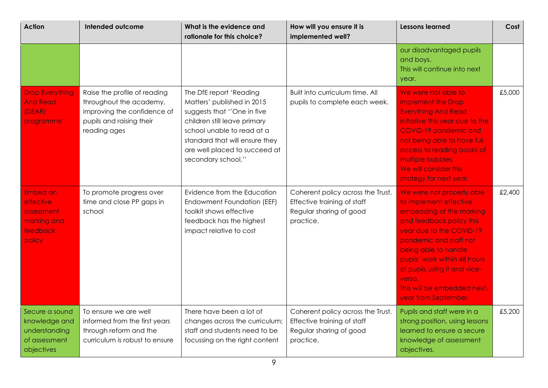| <b>Action</b>                                                                   | Intended outcome                                                                                                                   | What is the evidence and<br>rationale for this choice?                                                                                                                                                                                     | How will you ensure it is<br>implemented well?                                                           | <b>Lessons learned</b>                                                                                                                                                                                                                                                                                                     | Cost   |
|---------------------------------------------------------------------------------|------------------------------------------------------------------------------------------------------------------------------------|--------------------------------------------------------------------------------------------------------------------------------------------------------------------------------------------------------------------------------------------|----------------------------------------------------------------------------------------------------------|----------------------------------------------------------------------------------------------------------------------------------------------------------------------------------------------------------------------------------------------------------------------------------------------------------------------------|--------|
|                                                                                 |                                                                                                                                    |                                                                                                                                                                                                                                            |                                                                                                          | our disadvantaged pupils<br>and boys.<br>This will continue into next<br>year.                                                                                                                                                                                                                                             |        |
| <b>Drop Everything</b><br><b>And Read</b><br>(DEAR)<br>programme                | Raise the profile of reading<br>throughout the academy,<br>improving the confidence of<br>pupils and raising their<br>reading ages | The DfE report 'Reading<br>Matters' published in 2015<br>suggests that "One in five<br>children still leave primary<br>school unable to read at a<br>standard that will ensure they<br>are well placed to succeed at<br>secondary school." | Built into curriculum time. All<br>pupils to complete each week.                                         | We were not able to<br>implement the Drop<br><b>Everything And Read</b><br>initiative this year due to the<br>COVID-19 pandemic and<br>not being able to have full<br>access to reading books of<br>multiple bubbles.<br>We will consider this<br>strategy for next year.                                                  | £5,000 |
| Embed an<br>effective<br>assessment<br>marking and<br>feedback<br>policy        | To promote progress over<br>time and close PP gaps in<br>school                                                                    | Evidence from the Education<br>Endowment Foundation (EEF)<br>toolkit shows effective<br>feedback has the highest<br>impact relative to cost                                                                                                | Coherent policy across the Trust.<br>Effective training of staff<br>Regular sharing of good<br>practice. | We were not properly able<br>to implement effective<br>embedding of the marking<br>and feedback policy this<br>year due to the COVID-19<br>pandemic and staff not<br>being able to handle<br>pupils' work within 48 hours<br>of pupils using it and vice-<br>versa.<br>This will be embedded next,<br>year from September. | £2,400 |
| Secure a sound<br>knowledge and<br>understanding<br>of assessment<br>objectives | To ensure we are well<br>informed from the first years<br>through reform and the<br>curriculum is robust to ensure                 | There have been a lot of<br>changes across the curriculum;<br>staff and students need to be<br>focussing on the right content                                                                                                              | Coherent policy across the Trust.<br>Effective training of staff<br>Regular sharing of good<br>practice. | Pupils and staff were in a<br>strong position, using lessons<br>learned to ensure a secure<br>knowledge of assessment<br>objectives.                                                                                                                                                                                       | £5,200 |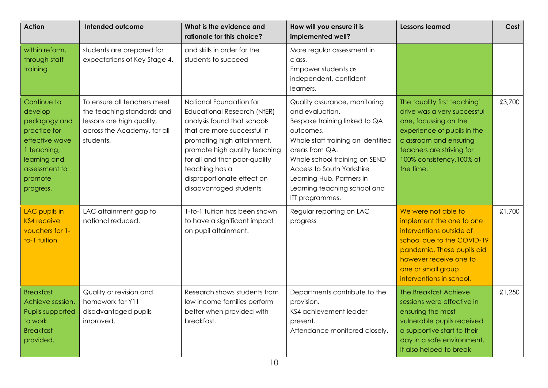| <b>Action</b>                                                                                                                                    | Intended outcome                                                                                                                   | What is the evidence and<br>rationale for this choice?                                                                                                                                                                                                                                                | How will you ensure it is<br>implemented well?                                                                                                                                                                                                                                                       | <b>Lessons learned</b>                                                                                                                                                                                               | Cost   |
|--------------------------------------------------------------------------------------------------------------------------------------------------|------------------------------------------------------------------------------------------------------------------------------------|-------------------------------------------------------------------------------------------------------------------------------------------------------------------------------------------------------------------------------------------------------------------------------------------------------|------------------------------------------------------------------------------------------------------------------------------------------------------------------------------------------------------------------------------------------------------------------------------------------------------|----------------------------------------------------------------------------------------------------------------------------------------------------------------------------------------------------------------------|--------|
| within reform,<br>through staff<br>training                                                                                                      | students are prepared for<br>expectations of Key Stage 4.                                                                          | and skills in order for the<br>students to succeed                                                                                                                                                                                                                                                    | More regular assessment in<br>class.<br>Empower students as<br>independent, confident<br>learners.                                                                                                                                                                                                   |                                                                                                                                                                                                                      |        |
| Continue to<br>develop<br>pedagogy and<br>practice for<br>effective wave<br>1 teaching,<br>learning and<br>assessment to<br>promote<br>progress. | To ensure all teachers meet<br>the teaching standards and<br>lessons are high quality,<br>across the Academy, for all<br>students. | National Foundation for<br><b>Educational Research (NfER)</b><br>analysis found that schools<br>that are more successful in<br>promoting high attainment,<br>promote high quality teaching<br>for all and that poor-quality<br>teaching has a<br>disproportionate effect on<br>disadvantaged students | Quality assurance, monitoring<br>and evaluation.<br>Bespoke training linked to QA<br>outcomes.<br>Whole staff training on identified<br>areas from QA.<br>Whole school training on SEND<br>Access to South Yorkshire<br>Learning Hub, Partners in<br>Learning teaching school and<br>ITT programmes. | The 'quality first teaching'<br>drive was a very successful<br>one, focussing on the<br>experience of pupils in the<br>classroom and ensuring<br>teachers are striving for<br>100% consistency, 100% of<br>the time. | £3,700 |
| LAC pupils in<br><b>KS4</b> receive<br>vouchers for 1-<br>to-1 tuition                                                                           | LAC attainment gap to<br>national reduced.                                                                                         | 1-to-1 tuition has been shown<br>to have a significant impact<br>on pupil attainment.                                                                                                                                                                                                                 | Regular reporting on LAC<br>progress                                                                                                                                                                                                                                                                 | We were not able to<br>implement the one to one<br>interventions outside of<br>school due to the COVID-19<br>pandemic. These pupils did<br>however receive one to<br>one or small group<br>interventions in school.  | £1,700 |
| <b>Breakfast</b><br>Achieve session.<br>Pupils supported<br>to work.<br><b>Breakfast</b><br>provided.                                            | Quality or revision and<br>homework for Y11<br>disadvantaged pupils<br>improved.                                                   | Research shows students from<br>low income families perform<br>better when provided with<br>breakfast.                                                                                                                                                                                                | Departments contribute to the<br>provision.<br>KS4 achievement leader<br>present.<br>Attendance monitored closely.                                                                                                                                                                                   | The Breakfast Achieve<br>sessions were effective in<br>ensuring the most<br>vulnerable pupils received<br>a supportive start to their<br>day in a safe environment.<br>It also helped to break                       | £1,250 |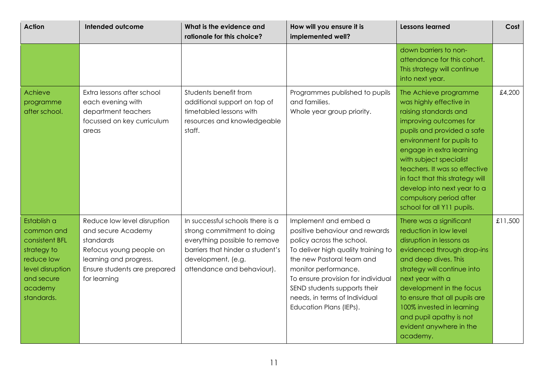| <b>Action</b>                                                                                                                       | Intended outcome                                                                                                                                                    | What is the evidence and<br>rationale for this choice?                                                                                                                                  | How will you ensure it is<br>implemented well?                                                                                                                                                                                                                                                                     | <b>Lessons learned</b>                                                                                                                                                                                                                                                                                                                                                            | Cost    |
|-------------------------------------------------------------------------------------------------------------------------------------|---------------------------------------------------------------------------------------------------------------------------------------------------------------------|-----------------------------------------------------------------------------------------------------------------------------------------------------------------------------------------|--------------------------------------------------------------------------------------------------------------------------------------------------------------------------------------------------------------------------------------------------------------------------------------------------------------------|-----------------------------------------------------------------------------------------------------------------------------------------------------------------------------------------------------------------------------------------------------------------------------------------------------------------------------------------------------------------------------------|---------|
|                                                                                                                                     |                                                                                                                                                                     |                                                                                                                                                                                         |                                                                                                                                                                                                                                                                                                                    | down barriers to non-<br>attendance for this cohort.<br>This strategy will continue<br>into next year.                                                                                                                                                                                                                                                                            |         |
| Achieve<br>programme<br>after school.                                                                                               | Extra lessons after school<br>each evening with<br>department teachers<br>focussed on key curriculum<br>areas                                                       | Students benefit from<br>additional support on top of<br>timetabled lessons with<br>resources and knowledgeable<br>staff.                                                               | Programmes published to pupils<br>and families.<br>Whole year group priority.                                                                                                                                                                                                                                      | The Achieve programme<br>was highly effective in<br>raising standards and<br>improving outcomes for<br>pupils and provided a safe<br>environment for pupils to<br>engage in extra learning<br>with subject specialist<br>teachers. It was so effective<br>in fact that this strategy will<br>develop into next year to a<br>compulsory period after<br>school for all Y11 pupils. | £4,200  |
| Establish a<br>common and<br>consistent BFL<br>strategy to<br>reduce low<br>level disruption<br>and secure<br>academy<br>standards. | Reduce low level disruption<br>and secure Academy<br>standards<br>Refocus young people on<br>learning and progress.<br>Ensure students are prepared<br>for learning | In successful schools there is a<br>strong commitment to doing<br>everything possible to remove<br>barriers that hinder a student's<br>development, (e.g.<br>attendance and behaviour). | Implement and embed a<br>positive behaviour and rewards<br>policy across the school.<br>To deliver high quality training to<br>the new Pastoral team and<br>monitor performance.<br>To ensure provision for individual<br>SEND students supports their<br>needs, in terms of Individual<br>Education Plans (IEPs). | There was a significant<br>reduction in low level<br>disruption in lessons as<br>evidenced through drop-ins<br>and deep dives. This<br>strategy will continue into<br>next year with a<br>development in the focus<br>to ensure that all pupils are<br>100% invested in learning<br>and pupil apathy is not<br>evident anywhere in the<br>academy.                                | £11,500 |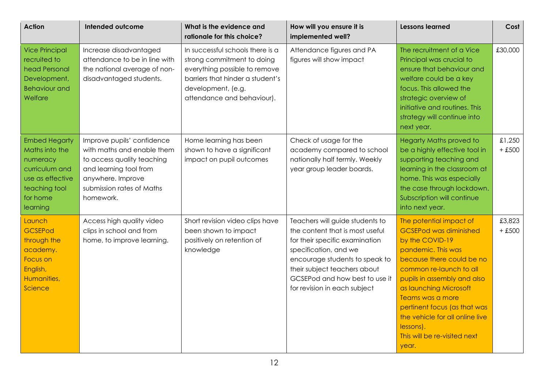| <b>Action</b>                                                                                                                     | Intended outcome                                                                                                                                                                | What is the evidence and<br>rationale for this choice?                                                                                                                                  | How will you ensure it is<br>implemented well?                                                                                                                                                                                                                    | <b>Lessons learned</b>                                                                                                                                                                                                                                                                                                                                          | Cost               |
|-----------------------------------------------------------------------------------------------------------------------------------|---------------------------------------------------------------------------------------------------------------------------------------------------------------------------------|-----------------------------------------------------------------------------------------------------------------------------------------------------------------------------------------|-------------------------------------------------------------------------------------------------------------------------------------------------------------------------------------------------------------------------------------------------------------------|-----------------------------------------------------------------------------------------------------------------------------------------------------------------------------------------------------------------------------------------------------------------------------------------------------------------------------------------------------------------|--------------------|
| <b>Vice Principal</b><br>recruited to<br>head Personal<br>Development,<br><b>Behaviour and</b><br>Welfare                         | Increase disadvantaged<br>attendance to be in line with<br>the national average of non-<br>disadvantaged students.                                                              | In successful schools there is a<br>strong commitment to doing<br>everything possible to remove<br>barriers that hinder a student's<br>development, (e.g.<br>attendance and behaviour). | Attendance figures and PA<br>figures will show impact                                                                                                                                                                                                             | The recruitment of a Vice<br>Principal was crucial to<br>ensure that behaviour and<br>welfare could be a key<br>focus. This allowed the<br>strategic overview of<br>initiative and routines. This<br>strategy will continue into<br>next year.                                                                                                                  | £30,000            |
| <b>Embed Hegarty</b><br>Maths into the<br>numeracy<br>curriculum and<br>use as effective<br>teaching tool<br>for home<br>learning | Improve pupils' confidence<br>with maths and enable them<br>to access quality teaching<br>and learning tool from<br>anywhere. Improve<br>submission rates of Maths<br>homework. | Home learning has been<br>shown to have a significant<br>impact on pupil outcomes                                                                                                       | Check of usage for the<br>academy compared to school<br>nationally half termly. Weekly<br>year group leader boards.                                                                                                                                               | <b>Hegarty Maths proved to</b><br>be a highly effective tool in<br>supporting teaching and<br>learning in the classroom at<br>home. This was especially<br>the case through lockdown.<br>Subscription will continue<br>into next year.                                                                                                                          | £1,250<br>$+ £500$ |
| Launch<br><b>GCSEPod</b><br>through the<br>academy.<br>Focus on<br>English,<br>Humanities,<br>Science                             | Access high quality video<br>clips in school and from<br>home, to improve learning.                                                                                             | Short revision video clips have<br>been shown to impact<br>positively on retention of<br>knowledge                                                                                      | Teachers will guide students to<br>the content that is most useful<br>for their specific examination<br>specification, and we<br>encourage students to speak to<br>their subject teachers about<br>GCSEPod and how best to use it<br>for revision in each subject | The potential impact of<br><b>GCSEPod was diminished</b><br>by the COVID-19<br>pandemic. This was<br>because there could be no<br>common re-launch to all<br>pupils in assembly and also<br>as launching Microsoft<br>Teams was a more<br>pertinent focus (as that was<br>the vehicle for all online live<br>lessons).<br>This will be re-visited next<br>year. | £3,823<br>$+ £500$ |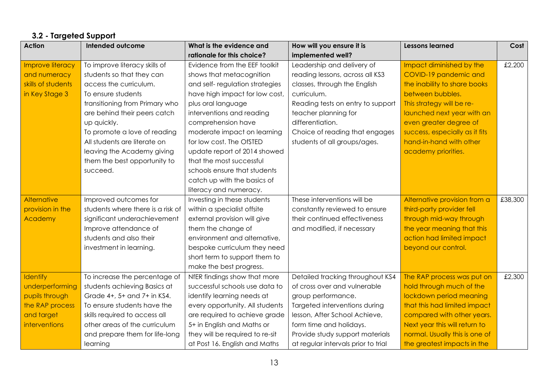# **3.2 - Targeted Support**

<span id="page-12-0"></span>

| <b>Action</b>      | Intended outcome                  | What is the evidence and        | How will you ensure it is           | <b>Lessons learned</b>         | Cost    |
|--------------------|-----------------------------------|---------------------------------|-------------------------------------|--------------------------------|---------|
|                    |                                   | rationale for this choice?      | implemented well?                   |                                |         |
| Improve literacy   | To improve literacy skills of     | Evidence from the EEF toolkit   | Leadership and delivery of          | Impact diminished by the       | £2,200  |
| and numeracy       | students so that they can         | shows that metacognition        | reading lessons, across all KS3     | COVID-19 pandemic and          |         |
| skills of students | access the curriculum.            | and self-regulation strategies  | classes, through the English        | the inability to share books   |         |
| in Key Stage 3     | To ensure students                | have high impact for low cost,  | curriculum.                         | between bubbles.               |         |
|                    | transitioning from Primary who    | plus oral language              | Reading tests on entry to support   | This strategy will be re-      |         |
|                    | are behind their peers catch      | interventions and reading       | teacher planning for                | launched next year with an     |         |
|                    | up quickly.                       | comprehension have              | differentiation.                    | even greater degree of         |         |
|                    | To promote a love of reading      | moderate impact on learning     | Choice of reading that engages      | success, especially as it fits |         |
|                    | All students are literate on      | for low cost. The OfSTED        | students of all groups/ages.        | hand-in-hand with other        |         |
|                    | leaving the Academy giving        | update report of 2014 showed    |                                     | academy priorities.            |         |
|                    | them the best opportunity to      | that the most successful        |                                     |                                |         |
|                    | succeed.                          | schools ensure that students    |                                     |                                |         |
|                    |                                   | catch up with the basics of     |                                     |                                |         |
|                    |                                   | literacy and numeracy.          |                                     |                                |         |
| Alternative        | Improved outcomes for             | Investing in these students     | These interventions will be         | Alternative provision from a   | £38,300 |
| provision in the   | students where there is a risk of | within a specialist offsite     | constantly reviewed to ensure       | third-party provider fell      |         |
| Academy            | significant underachievement      | external provision will give    | their continued effectiveness       | through mid-way through        |         |
|                    | Improve attendance of             | them the change of              | and modified, if necessary          | the year meaning that this     |         |
|                    | students and also their           | environment and alternative,    |                                     | action had limited impact      |         |
|                    | investment in learning.           | bespoke curriculum they need    |                                     | beyond our control.            |         |
|                    |                                   | short term to support them to   |                                     |                                |         |
|                    |                                   | make the best progress.         |                                     |                                |         |
| <b>Identify</b>    | To increase the percentage of     | NfER findings show that more    | Detailed tracking throughout KS4    | The RAP process was put on     | £2,300  |
| underperforming    | students achieving Basics at      | successful schools use data to  | of cross over and vulnerable        | hold through much of the       |         |
| pupils through     | Grade 4+, 5+ and 7+ in KS4.       | identify learning needs at      | group performance.                  | lockdown period meaning        |         |
| the RAP process    | To ensure students have the       | every opportunity. All students | Targeted interventions during       | that this had limited impact   |         |
| and target         | skills required to access all     | are required to achieve grade   | lesson, After School Achieve,       | compared with other years.     |         |
| interventions      | other areas of the curriculum     | 5+ in English and Maths or      | form time and holidays.             | Next year this will return to  |         |
|                    | and prepare them for life-long    | they will be required to re-sit | Provide study support materials     | normal. Usually this is one of |         |
|                    | learning                          | at Post 16. English and Maths   | at regular intervals prior to trial | the greatest impacts in the    |         |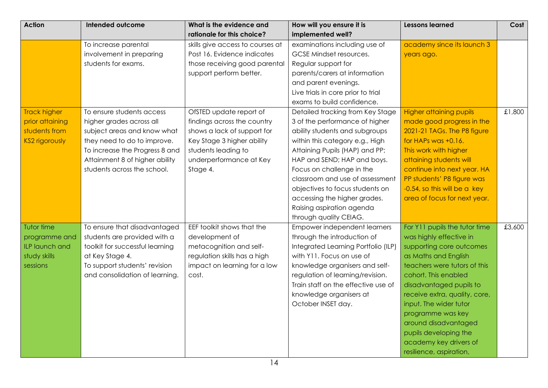| <b>Action</b>                                                                    | Intended outcome                                                                                                                                                                                                       | What is the evidence and                                                                                                                                                          | How will you ensure it is                                                                                                                                                                                                                                                                                                                                                                          | <b>Lessons learned</b>                                                                                                                                                                                                                                                                                                                                                                | Cost   |
|----------------------------------------------------------------------------------|------------------------------------------------------------------------------------------------------------------------------------------------------------------------------------------------------------------------|-----------------------------------------------------------------------------------------------------------------------------------------------------------------------------------|----------------------------------------------------------------------------------------------------------------------------------------------------------------------------------------------------------------------------------------------------------------------------------------------------------------------------------------------------------------------------------------------------|---------------------------------------------------------------------------------------------------------------------------------------------------------------------------------------------------------------------------------------------------------------------------------------------------------------------------------------------------------------------------------------|--------|
|                                                                                  |                                                                                                                                                                                                                        | rationale for this choice?                                                                                                                                                        | implemented well?                                                                                                                                                                                                                                                                                                                                                                                  |                                                                                                                                                                                                                                                                                                                                                                                       |        |
|                                                                                  | To increase parental<br>involvement in preparing<br>students for exams.                                                                                                                                                | skills give access to courses at<br>Post 16. Evidence indicates<br>those receiving good parental<br>support perform better.                                                       | examinations including use of<br>GCSE Mindset resources.<br>Regular support for<br>parents/carers at information<br>and parent evenings.                                                                                                                                                                                                                                                           | academy since its launch 3<br>years ago.                                                                                                                                                                                                                                                                                                                                              |        |
|                                                                                  |                                                                                                                                                                                                                        |                                                                                                                                                                                   | Live trials in core prior to trial<br>exams to build confidence.                                                                                                                                                                                                                                                                                                                                   |                                                                                                                                                                                                                                                                                                                                                                                       |        |
| <b>Track higher</b><br>prior attaining<br>students from<br><b>KS2 rigorously</b> | To ensure students access<br>higher grades across all<br>subject areas and know what<br>they need to do to improve.<br>To increase the Progress 8 and<br>Attainment 8 of higher ability<br>students across the school. | OfSTED update report of<br>findings across the country<br>shows a lack of support for<br>Key Stage 3 higher ability<br>students leading to<br>underperformance at Key<br>Stage 4. | Detailed tracking from Key Stage<br>3 of the performance of higher<br>ability students and subgroups<br>within this category e.g., High<br>Attaining Pupils (HAP) and PP;<br>HAP and SEND; HAP and boys.<br>Focus on challenge in the<br>classroom and use of assessment<br>objectives to focus students on<br>accessing the higher grades.<br>Raising aspiration agenda<br>through quality CEIAG. | <b>Higher attaining pupils</b><br>made good progress in the<br>2021-21 TAGs. The P8 figure<br>for HAPs was +0.16.<br>This work with higher<br>attaining students will<br>continue into next year. HA<br>PP students' P8 figure was<br>-0.54, so this will be a key<br>area of focus for next year.                                                                                    | £1,800 |
| Tutor time<br>programme and<br>ILP launch and<br>study skills<br>sessions        | To ensure that disadvantaged<br>students are provided with a<br>toolkit for successful learning<br>at Key Stage 4.<br>To support students' revision<br>and consolidation of learning.                                  | EEF toolkit shows that the<br>development of<br>metacognition and self-<br>regulation skills has a high<br>impact on learning for a low<br>cost.                                  | Empower independent learners<br>through the introduction of<br>Integrated Learning Portfolio (ILP)<br>with Y11. Focus on use of<br>knowledge organisers and self-<br>regulation of learning/revision.<br>Train staff on the effective use of<br>knowledge organisers at<br>October INSET day.                                                                                                      | For Y11 pupils the tutor time<br>was highly effective in<br>supporting core outcomes<br>as Maths and English<br>teachers were tutors of this<br>cohort. This enabled<br>disadvantaged pupils to<br>receive extra, quality, core,<br>input. The wider tutor<br>programme was key<br>around disadvantaged<br>pupils developing the<br>academy key drivers of<br>resilience, aspiration, | £3,600 |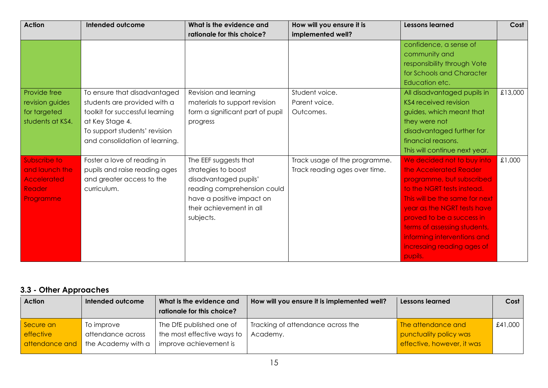| <b>Action</b>    | Intended outcome                | What is the evidence and         | How will you ensure it is     | <b>Lessons learned</b>         | Cost    |
|------------------|---------------------------------|----------------------------------|-------------------------------|--------------------------------|---------|
|                  |                                 | rationale for this choice?       | implemented well?             |                                |         |
|                  |                                 |                                  |                               | confidence, a sense of         |         |
|                  |                                 |                                  |                               | community and                  |         |
|                  |                                 |                                  |                               | responsibility through Vote    |         |
|                  |                                 |                                  |                               | for Schools and Character      |         |
|                  |                                 |                                  |                               | Education etc.                 |         |
| Provide free     | To ensure that disadvantaged    | Revision and learning            | Student voice.                | All disadvantaged pupils in    | £13,000 |
| revision guides  | students are provided with a    | materials to support revision    | Parent voice.                 | <b>KS4 received revision</b>   |         |
| for targeted     | toolkit for successful learning | form a significant part of pupil | Outcomes.                     | guides, which meant that       |         |
| students at KS4. | at Key Stage 4.                 | progress                         |                               | they were not                  |         |
|                  | To support students' revision   |                                  |                               | disadvantaged further for      |         |
|                  | and consolidation of learning.  |                                  |                               | financial reasons.             |         |
|                  |                                 |                                  |                               | This will continue next year.  |         |
| Subscribe to     | Foster a love of reading in     | The EEF suggests that            | Track usage of the programme. | We decided not to buy into     | £1,000  |
| and launch the   | pupils and raise reading ages   | strategies to boost              | Track reading ages over time. | the Accelerated Reader         |         |
| Accelerated      | and greater access to the       | disadvantaged pupils'            |                               | programme, but subscribed      |         |
| <b>Reader</b>    | curriculum.                     | reading comprehension could      |                               | to the NGRT tests instead.     |         |
| Programme        |                                 | have a positive impact on        |                               | This will be the same for next |         |
|                  |                                 | their achievement in all         |                               | year as the NGRT tests have    |         |
|                  |                                 | subjects.                        |                               | proved to be a success in      |         |
|                  |                                 |                                  |                               | terms of assessing students,   |         |
|                  |                                 |                                  |                               | informing interventions and    |         |
|                  |                                 |                                  |                               | incresaing reading ages of     |         |
|                  |                                 |                                  |                               | pupils.                        |         |

# <span id="page-14-0"></span>**3.3 - Other Approaches**

| <b>Action</b>    | Intended outcome   | What is the evidence and<br>rationale for this choice? | How will you ensure it is implemented well? | Lessons learned            | Cost    |
|------------------|--------------------|--------------------------------------------------------|---------------------------------------------|----------------------------|---------|
| Secure an        | To improve         | The DfE published one of                               | Tracking of attendance across the           | The attendance and         | £41,000 |
| <b>effective</b> | attendance across  | the most effective ways to                             | Academy.                                    | punctuality policy was     |         |
| attendance and   | the Academy with a | improve achievement is                                 |                                             | effective, however, it was |         |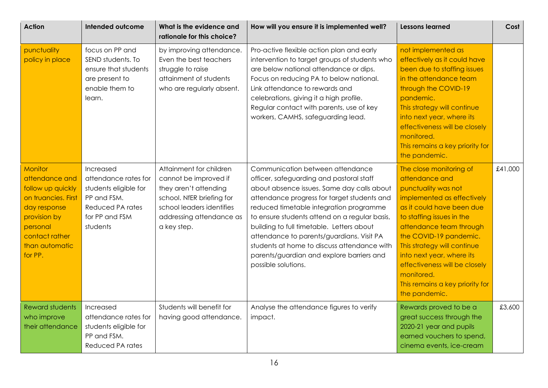| <b>Action</b>                                                                                                                                                           | Intended outcome                                                                                                            | What is the evidence and<br>rationale for this choice?                                                                                                                         | How will you ensure it is implemented well?                                                                                                                                                                                                                                                                                                                                                                                                                                        | <b>Lessons learned</b>                                                                                                                                                                                                                                                                                                                                                       | Cost    |
|-------------------------------------------------------------------------------------------------------------------------------------------------------------------------|-----------------------------------------------------------------------------------------------------------------------------|--------------------------------------------------------------------------------------------------------------------------------------------------------------------------------|------------------------------------------------------------------------------------------------------------------------------------------------------------------------------------------------------------------------------------------------------------------------------------------------------------------------------------------------------------------------------------------------------------------------------------------------------------------------------------|------------------------------------------------------------------------------------------------------------------------------------------------------------------------------------------------------------------------------------------------------------------------------------------------------------------------------------------------------------------------------|---------|
| punctuality<br>policy in place                                                                                                                                          | focus on PP and<br>SEND students. To<br>ensure that students<br>are present to<br>enable them to<br>learn.                  | by improving attendance.<br>Even the best teachers<br>struggle to raise<br>attainment of students<br>who are regularly absent.                                                 | Pro-active flexible action plan and early<br>intervention to target groups of students who<br>are below national attendance or dips.<br>Focus on reducing PA to below national.<br>Link attendance to rewards and<br>celebrations, giving it a high profile.<br>Regular contact with parents, use of key<br>workers, CAMHS, safeguarding lead.                                                                                                                                     | not implemented as<br>effectively as it could have<br>been due to staffing issues<br>in the attendance team<br>through the COVID-19<br>pandemic.<br>This strategy will continue<br>into next year, where its<br>effectiveness will be closely<br>monitored.<br>This remains a key priority for<br>the pandemic.                                                              |         |
| <b>Monitor</b><br>attendance and<br>follow up quickly<br>on truancies. First<br>day response<br>provision by<br>personal<br>contact rather<br>than automatic<br>for PP. | Increased<br>attendance rates for<br>students eligible for<br>PP and FSM.<br>Reduced PA rates<br>for PP and FSM<br>students | Attainment for children<br>cannot be improved if<br>they aren't attending<br>school. NfER briefing for<br>school leaders identifies<br>addressing attendance as<br>a key step. | Communication between attendance<br>officer, safeguarding and pastoral staff<br>about absence issues. Same day calls about<br>attendance progress for target students and<br>reduced timetable integration programme<br>to ensure students attend on a regular basis,<br>building to full timetable. Letters about<br>attendance to parents/guardians. Visit PA<br>students at home to discuss attendance with<br>parents/guardian and explore barriers and<br>possible solutions. | The close monitoring of<br>attendance and<br>punctuality was not<br>implemented as effectively<br>as it could have been due<br>to staffing issues in the<br>attendance team through<br>the COVID-19 pandemic.<br>This strategy will continue<br>into next year, where its<br>effectiveness will be closely<br>monitored.<br>This remains a key priority for<br>the pandemic. | £41,000 |
| Reward students<br>who improve<br>their attendance                                                                                                                      | Increased<br>attendance rates for<br>students eligible for<br>PP and FSM.<br>Reduced PA rates                               | Students will benefit for<br>having good attendance.                                                                                                                           | Analyse the attendance figures to verify<br>impact.                                                                                                                                                                                                                                                                                                                                                                                                                                | Rewards proved to be a<br>great success through the<br>2020-21 year and pupils<br>earned vouchers to spend,<br>cinema events, ice-cream                                                                                                                                                                                                                                      | £3,600  |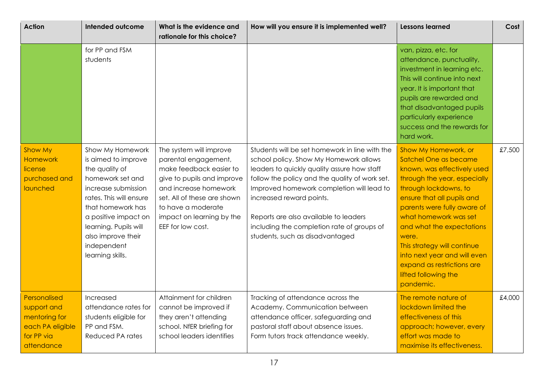| <b>Action</b>                                                                                | <b>Intended outcome</b>                                                                                                                                                                                                                                        | What is the evidence and<br>rationale for this choice?                                                                                                                                                                                   | How will you ensure it is implemented well?                                                                                                                                                                                                                                                                                                                                                  | <b>Lessons learned</b>                                                                                                                                                                                                                                                                                                                                                                              | Cost   |
|----------------------------------------------------------------------------------------------|----------------------------------------------------------------------------------------------------------------------------------------------------------------------------------------------------------------------------------------------------------------|------------------------------------------------------------------------------------------------------------------------------------------------------------------------------------------------------------------------------------------|----------------------------------------------------------------------------------------------------------------------------------------------------------------------------------------------------------------------------------------------------------------------------------------------------------------------------------------------------------------------------------------------|-----------------------------------------------------------------------------------------------------------------------------------------------------------------------------------------------------------------------------------------------------------------------------------------------------------------------------------------------------------------------------------------------------|--------|
|                                                                                              | for PP and FSM<br>students                                                                                                                                                                                                                                     |                                                                                                                                                                                                                                          |                                                                                                                                                                                                                                                                                                                                                                                              | van, pizza, etc. for<br>attendance, punctuality,<br>investment in learning etc.<br>This will continue into next<br>year. It is important that<br>pupils are rewarded and<br>that disadvantaged pupils<br>particularly experience<br>success and the rewards for<br>hard work.                                                                                                                       |        |
| Show My<br>Homework<br>license<br>purchased and<br>launched                                  | Show My Homework<br>is aimed to improve<br>the quality of<br>homework set and<br>increase submission<br>rates. This will ensure<br>that homework has<br>a positive impact on<br>learning. Pupils will<br>also improve their<br>independent<br>learning skills. | The system will improve<br>parental engagement,<br>make feedback easier to<br>give to pupils and improve<br>and increase homework<br>set. All of these are shown<br>to have a moderate<br>impact on learning by the<br>EEF for low cost. | Students will be set homework in line with the<br>school policy. Show My Homework allows<br>leaders to quickly quality assure how staff<br>follow the policy and the quality of work set.<br>Improved homework completion will lead to<br>increased reward points.<br>Reports are also available to leaders<br>including the completion rate of groups of<br>students, such as disadvantaged | Show My Homework, or<br>Satchel One as became<br>known, was effectively used<br>through the year, especially<br>through lockdowns, to<br>ensure that all pupils and<br>parents were fully aware of<br>what homework was set<br>and what the expectations<br>were.<br>This strategy will continue<br>into next year and will even<br>expand as restrictions are<br>lifted following the<br>pandemic. | £7,500 |
| Personalised<br>support and<br>mentoring for<br>each PA eligible<br>for PP via<br>attendance | Increased<br>attendance rates for<br>students eligible for<br>PP and FSM.<br>Reduced PA rates                                                                                                                                                                  | Attainment for children<br>cannot be improved if<br>they aren't attending<br>school. NfER briefing for<br>school leaders identifies                                                                                                      | Tracking of attendance across the<br>Academy. Communication between<br>attendance officer, safeguarding and<br>pastoral staff about absence issues.<br>Form tutors track attendance weekly.                                                                                                                                                                                                  | The remote nature of<br>lockdown limited the<br>effectiveness of this<br>approach; however, every<br>effort was made to<br>maximise its effectiveness.                                                                                                                                                                                                                                              | £4,000 |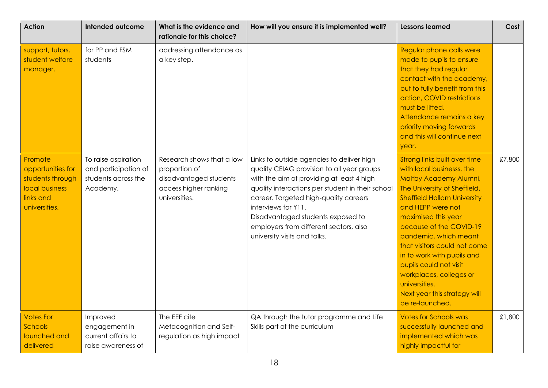| <b>Action</b>                                                                                    | <b>Intended outcome</b>                                                        | What is the evidence and<br>rationale for this choice?                                                         | How will you ensure it is implemented well?                                                                                                                                                                                                                                                                                                                             | <b>Lessons learned</b>                                                                                                                                                                                                                                                                                                                                                                                                                           | Cost   |
|--------------------------------------------------------------------------------------------------|--------------------------------------------------------------------------------|----------------------------------------------------------------------------------------------------------------|-------------------------------------------------------------------------------------------------------------------------------------------------------------------------------------------------------------------------------------------------------------------------------------------------------------------------------------------------------------------------|--------------------------------------------------------------------------------------------------------------------------------------------------------------------------------------------------------------------------------------------------------------------------------------------------------------------------------------------------------------------------------------------------------------------------------------------------|--------|
| support, tutors,<br>student welfare<br>manager.                                                  | for PP and FSM<br>students                                                     | addressing attendance as<br>a key step.                                                                        |                                                                                                                                                                                                                                                                                                                                                                         | Regular phone calls were<br>made to pupils to ensure<br>that they had regular<br>contact with the academy,<br>but to fully benefit from this<br>action, COVID restrictions<br>must be lifted.<br>Attendance remains a key<br>priority moving forwards<br>and this will continue next<br>year.                                                                                                                                                    |        |
| Promote<br>opportunities for<br>students through<br>local business<br>links and<br>universities. | To raise aspiration<br>and participation of<br>students across the<br>Academy. | Research shows that a low<br>proportion of<br>disadvantaged students<br>access higher ranking<br>universities. | Links to outside agencies to deliver high<br>quality CEIAG provision to all year groups<br>with the aim of providing at least 4 high<br>quality interactions per student in their school<br>career. Targeted high-quality careers<br>interviews for Y11.<br>Disadvantaged students exposed to<br>employers from different sectors, also<br>university visits and talks. | Strong links built over time<br>with local businesss, the<br>Maltby Academy Alumni,<br>The University of Sheffield,<br><b>Sheffield Hallam University</b><br>and HEPP were not<br>maximised this year<br>because of the COVID-19<br>pandemic, which meant<br>that visitors could not come<br>in to work with pupils and<br>pupils could not visit<br>workplaces, colleges or<br>universities.<br>Next year this strategy will<br>be re-launched. | £7,800 |
| <b>Votes For</b><br>Schools<br>launched and<br>delivered                                         | Improved<br>engagement in<br>current affairs to<br>raise awareness of          | The EEF cite<br>Metacognition and Self-<br>regulation as high impact                                           | QA through the tutor programme and Life<br>Skills part of the curriculum                                                                                                                                                                                                                                                                                                | <b>Votes for Schools was</b><br>successfully launched and<br>implemented which was<br>highly impactful for                                                                                                                                                                                                                                                                                                                                       | £1,800 |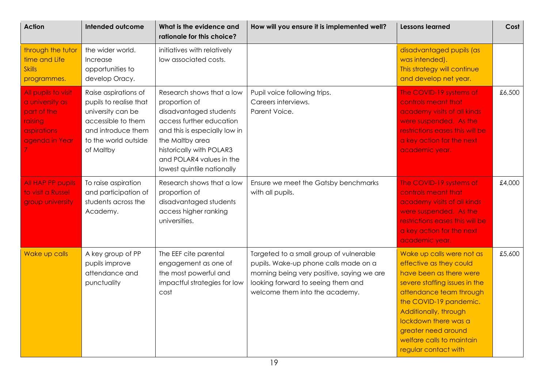| <b>Action</b>                                                                                            | <b>Intended outcome</b>                                                                                                                              | What is the evidence and<br>rationale for this choice?                                                                                                                                                                                     | How will you ensure it is implemented well?                                                                                                                                                            | <b>Lessons learned</b>                                                                                                                                                                                                                                                                             | Cost   |
|----------------------------------------------------------------------------------------------------------|------------------------------------------------------------------------------------------------------------------------------------------------------|--------------------------------------------------------------------------------------------------------------------------------------------------------------------------------------------------------------------------------------------|--------------------------------------------------------------------------------------------------------------------------------------------------------------------------------------------------------|----------------------------------------------------------------------------------------------------------------------------------------------------------------------------------------------------------------------------------------------------------------------------------------------------|--------|
| through the tutor<br>time and Life<br><b>Skills</b><br>programmes.                                       | the wider world.<br>Increase<br>opportunities to<br>develop Oracy.                                                                                   | initiatives with relatively<br>low associated costs.                                                                                                                                                                                       |                                                                                                                                                                                                        | disadvantaged pupils (as<br>was intended).<br>This strategy will continue<br>and develop net year.                                                                                                                                                                                                 |        |
| All pupils to visit<br>a university as<br>part of the<br>raising<br><i>aspirations</i><br>agenda in Year | Raise aspirations of<br>pupils to realise that<br>university can be<br>accessible to them<br>and introduce them<br>to the world outside<br>of Maltby | Research shows that a low<br>proportion of<br>disadvantaged students<br>access further education<br>and this is especially low in<br>the Maltby area<br>historically with POLAR3<br>and POLAR4 values in the<br>lowest quintile nationally | Pupil voice following trips.<br>Careers interviews.<br>Parent Voice.                                                                                                                                   | The COVID-19 systems of<br>controls meant that<br>academy visits of all kinds<br>were suspended. As the<br>restrictions eases this will be<br>a key action for the next<br>academic year.                                                                                                          | £6,500 |
| All HAP PP pupils<br>to visit a Russel<br>group university                                               | To raise aspiration<br>and participation of<br>students across the<br>Academy.                                                                       | Research shows that a low<br>proportion of<br>disadvantaged students<br>access higher ranking<br>universities.                                                                                                                             | Ensure we meet the Gatsby benchmarks<br>with all pupils.                                                                                                                                               | The COVID-19 systems of<br>controls meant that<br>academy visits of all kinds<br>were suspended. As the<br>restrictions eases this will be<br>a key action for the next<br>academic year.                                                                                                          | £4,000 |
| Wake up calls                                                                                            | A key group of PP<br>pupils improve<br>attendance and<br>punctuality                                                                                 | The EEF cite parental<br>engagement as one of<br>the most powerful and<br>impactful strategies for low<br>cost                                                                                                                             | Targeted to a small group of vulnerable<br>pupils. Wake-up phone calls made on a<br>morning being very positive, saying we are<br>looking forward to seeing them and<br>welcome them into the academy. | Wake up calls were not as<br>effective as they could<br>have been as there were<br>severe staffing issues in the<br>attendance team through<br>the COVID-19 pandemic.<br>Additionally, through<br>lockdown there was a<br>greater need around<br>welfare calls to maintain<br>regular contact with | £5,600 |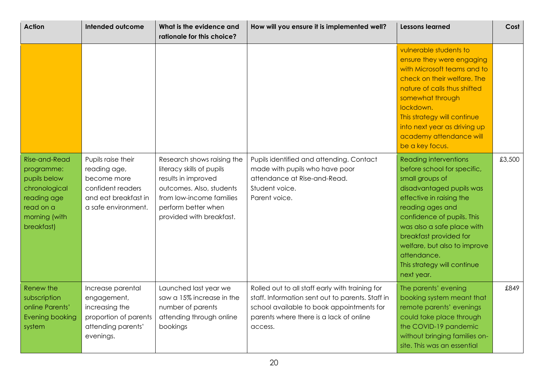| <b>Action</b>                                                                                                                  | Intended outcome                                                                                                      | What is the evidence and<br>rationale for this choice?                                                                                                                                    | How will you ensure it is implemented well?                                                                                                                                                            | <b>Lessons learned</b>                                                                                                                                                                                                                                                                                                                       | Cost   |
|--------------------------------------------------------------------------------------------------------------------------------|-----------------------------------------------------------------------------------------------------------------------|-------------------------------------------------------------------------------------------------------------------------------------------------------------------------------------------|--------------------------------------------------------------------------------------------------------------------------------------------------------------------------------------------------------|----------------------------------------------------------------------------------------------------------------------------------------------------------------------------------------------------------------------------------------------------------------------------------------------------------------------------------------------|--------|
|                                                                                                                                |                                                                                                                       |                                                                                                                                                                                           |                                                                                                                                                                                                        | vulnerable students to<br>ensure they were engaging<br>with Microsoft teams and to<br>check on their welfare. The<br>nature of calls thus shifted<br>somewhat through<br>lockdown.<br>This strategy will continue<br>into next year as driving up<br>academy attendance will<br>be a key focus.                                              |        |
| <b>Rise-and-Read</b><br>programme:<br>pupils below<br>chronological<br>reading age<br>read on a<br>morning (with<br>breakfast) | Pupils raise their<br>reading age,<br>become more<br>confident readers<br>and eat breakfast in<br>a safe environment. | Research shows raising the<br>literacy skills of pupils<br>results in improved<br>outcomes. Also, students<br>from low-income families<br>perform better when<br>provided with breakfast. | Pupils identified and attending. Contact<br>made with pupils who have poor<br>attendance at Rise-and-Read.<br>Student voice.<br>Parent voice.                                                          | <b>Reading interventions</b><br>before school for specific,<br>small groups of<br>disadvantaged pupils was<br>effective in raising the<br>reading ages and<br>confidence of pupils. This<br>was also a safe place with<br>breakfast provided for<br>welfare, but also to improve<br>attendance.<br>This strategy will continue<br>next year. | £3,500 |
| Renew the<br>subscription<br>online Parents'<br>Evening booking<br>system                                                      | Increase parental<br>engagement,<br>increasing the<br>proportion of parents<br>attending parents'<br>evenings.        | Launched last year we<br>saw a 15% increase in the<br>number of parents<br>attending through online<br>bookings                                                                           | Rolled out to all staff early with training for<br>staff. Information sent out to parents. Staff in<br>school available to book appointments for<br>parents where there is a lack of online<br>access. | The parents' evening<br>booking system meant that<br>remote parents' evenings<br>could take place through<br>the COVID-19 pandemic<br>without bringing families on-<br>site. This was an essential                                                                                                                                           | £849   |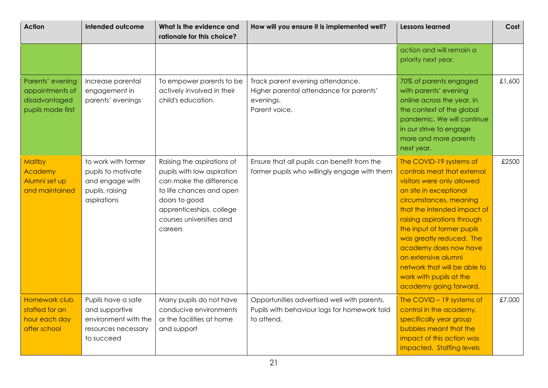| <b>Action</b>                                                             | <b>Intended outcome</b>                                                                           | What is the evidence and<br>rationale for this choice?                                                                                                                                              | How will you ensure it is implemented well?                                                               | <b>Lessons learned</b>                                                                                                                                                                                                                                                                                                                                                                                | Cost   |
|---------------------------------------------------------------------------|---------------------------------------------------------------------------------------------------|-----------------------------------------------------------------------------------------------------------------------------------------------------------------------------------------------------|-----------------------------------------------------------------------------------------------------------|-------------------------------------------------------------------------------------------------------------------------------------------------------------------------------------------------------------------------------------------------------------------------------------------------------------------------------------------------------------------------------------------------------|--------|
|                                                                           |                                                                                                   |                                                                                                                                                                                                     |                                                                                                           | action and will remain a<br>priority next year.                                                                                                                                                                                                                                                                                                                                                       |        |
| Parents' evening<br>appointments of<br>disadvantaged<br>pupils made first | Increase parental<br>engagement in<br>parents' evenings                                           | To empower parents to be<br>actively involved in their<br>child's education.                                                                                                                        | Track parent evening attendance.<br>Higher parental attendance for parents'<br>evenings.<br>Parent voice. | 70% of parents engaged<br>with parents' evening<br>online across the year, in<br>the context of the global<br>pandemic. We will continue<br>in our strive to engage<br>more and more parents<br>next year.                                                                                                                                                                                            | £1,600 |
| Maltby<br>Academy<br>Alumni set up<br>and maintained                      | to work with former<br>pupils to motivate<br>and engage with<br>pupils, raising<br>aspirations    | Raising the aspirations of<br>pupils with low aspiration<br>can make the difference<br>to life chances and open<br>doors to good<br>apprenticeships, college<br>courses universities and<br>careers | Ensure that all pupils can benefit from the<br>former pupils who willingly engage with them               | The COVID-19 systems of<br>controls meat that external<br>visitors were only allowed<br>on site in exceptional<br>circumstances, meaning<br>that the intended impact of<br>raising aspirations through<br>the input of former pupils<br>was greatly reduced. The<br>academy does now have<br>an extensive alumni<br>network that will be able to<br>work with pupils at the<br>academy going forward. | £2500  |
| Homework club<br>staffed for an<br>hour each day<br>after school          | Pupils have a safe<br>and supportive<br>environment with the<br>resources necessary<br>to succeed | Many pupils do not have<br>conducive environments<br>or the facilities at home<br>and support                                                                                                       | Opportunities advertised well with parents.<br>Pupils with behaviour logs for homework told<br>to attend. | The COVID - 19 systems of<br>control in the academy,<br>specifically year group<br>bubbles meant that the<br>impact of this action was<br>impacted. Staffing levels                                                                                                                                                                                                                                   | £7,000 |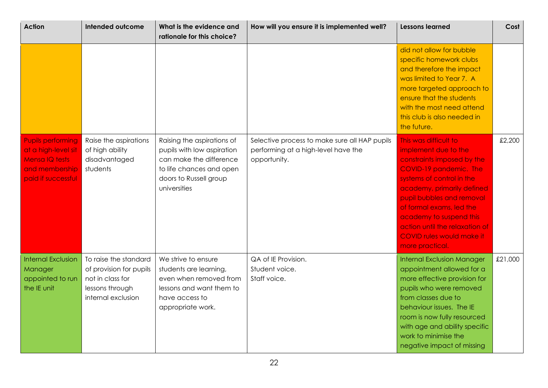| <b>Action</b>                                                                                             | <b>Intended outcome</b>                                                                                       | What is the evidence and<br>rationale for this choice?                                                                                                    | How will you ensure it is implemented well?                                                          | <b>Lessons learned</b>                                                                                                                                                                                                                                                                                                                 | Cost    |
|-----------------------------------------------------------------------------------------------------------|---------------------------------------------------------------------------------------------------------------|-----------------------------------------------------------------------------------------------------------------------------------------------------------|------------------------------------------------------------------------------------------------------|----------------------------------------------------------------------------------------------------------------------------------------------------------------------------------------------------------------------------------------------------------------------------------------------------------------------------------------|---------|
|                                                                                                           |                                                                                                               |                                                                                                                                                           |                                                                                                      | did not allow for bubble<br>specific homework clubs<br>and therefore the impact<br>was limited to Year 7. A<br>more targeted approach to<br>ensure that the students<br>with the most need attend<br>this club is also needed in<br>the future.                                                                                        |         |
| <b>Pupils performing</b><br>at a high-level sit<br>Mensa IQ tests<br>and membership<br>paid if successful | Raise the aspirations<br>of high ability<br>disadvantaged<br>students                                         | Raising the aspirations of<br>pupils with low aspiration<br>can make the difference<br>to life chances and open<br>doors to Russell group<br>universities | Selective process to make sure all HAP pupils<br>performing at a high-level have the<br>opportunity. | This was difficult to<br>implement due to the<br>constraints imposed by the<br>COVID-19 pandemic. The<br>systems of control in the<br>academy, primarily defined<br>pupil bubbles and removal<br>of formal exams, led the<br>academy to suspend this<br>action until the relaxation of<br>COVID rules would make it<br>more practical. | £2,200  |
| <b>Internal Exclusion</b><br>Manager<br>appointed to run<br>the IE unit                                   | To raise the standard<br>of provision for pupils<br>not in class for<br>lessons through<br>internal exclusion | We strive to ensure<br>students are learning,<br>even when removed from<br>lessons and want them to<br>have access to<br>appropriate work.                | QA of IE Provision.<br>Student voice.<br>Staff voice.                                                | <b>Internal Exclusion Manager</b><br>appointment allowed for a<br>more effective provision for<br>pupils who were removed<br>from classes due to<br>behaviour issues. The IE<br>room is now fully resourced<br>with age and ability specific<br>work to minimise the<br>negative impact of missing                                     | £21,000 |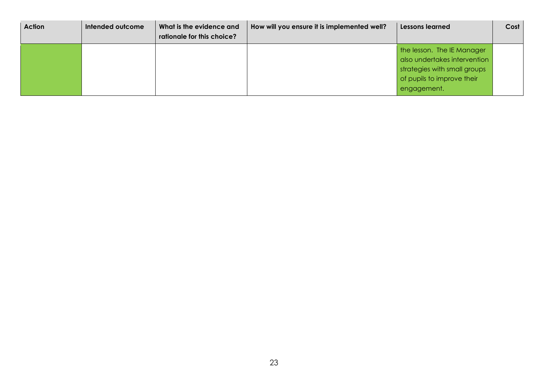| <b>Action</b> | Intended outcome | What is the evidence and<br>rationale for this choice? | How will you ensure it is implemented well? | Lessons learned                                                                                                                         | Cost |
|---------------|------------------|--------------------------------------------------------|---------------------------------------------|-----------------------------------------------------------------------------------------------------------------------------------------|------|
|               |                  |                                                        |                                             | the lesson. The IE Manager<br>also undertakes intervention<br>strategies with small groups<br>of pupils to improve their<br>engagement. |      |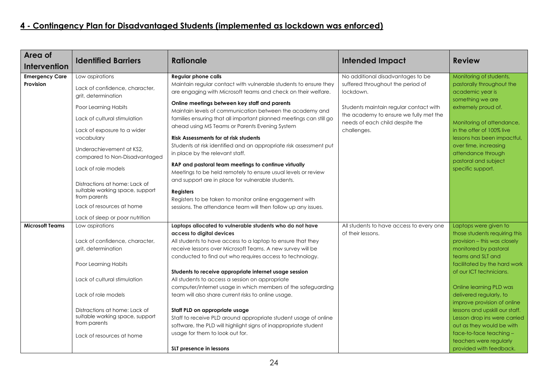# <span id="page-23-0"></span>**4 - Contingency Plan for Disadvantaged Students (implemented as lockdown was enforced)**

| Area of                | <b>Identified Barriers</b>                                                       | <b>Rationale</b>                                                                                                                                                                | <b>Intended Impact</b>                                                           | <b>Review</b>                                                                     |
|------------------------|----------------------------------------------------------------------------------|---------------------------------------------------------------------------------------------------------------------------------------------------------------------------------|----------------------------------------------------------------------------------|-----------------------------------------------------------------------------------|
| <b>Intervention</b>    |                                                                                  |                                                                                                                                                                                 |                                                                                  |                                                                                   |
| <b>Emergency Care</b>  | Low aspirations                                                                  | <b>Regular phone calls</b>                                                                                                                                                      | No additional disadvantages to be                                                | Monitoring of students,                                                           |
| Provision              | Lack of confidence, character,<br>grit, determination                            | Maintain regular contact with vulnerable students to ensure they<br>are engaging with Microsoft teams and check on their welfare.                                               | suffered throughout the period of<br>lockdown.                                   | pastorally throughout the<br>academic year is                                     |
|                        | Poor Learning Habits                                                             | Online meetings between key staff and parents<br>Maintain levels of communication between the academy and<br>families ensuring that all important planned meetings can still go | Students maintain regular contact with<br>the academy to ensure we fully met the | something we are<br>extremely proud of.                                           |
|                        | Lack of cultural stimulation<br>Lack of exposure to a wider                      | ahead using MS Teams or Parents Evening System                                                                                                                                  | needs of each child despite the<br>challenges.                                   | Monitoring of attendance,<br>in the offer of 100% live                            |
|                        | vocabulary                                                                       | <b>Risk Assessments for at risk students</b>                                                                                                                                    |                                                                                  | lessons has been impactful,                                                       |
|                        | Underachievement at KS2,<br>compared to Non-Disadvantaged                        | Students at risk identified and an appropriate risk assessment put<br>in place by the relevant staff.                                                                           |                                                                                  | over time, increasing<br>attendance through                                       |
|                        | Lack of role models                                                              | RAP and pastoral team meetings to continue virtually<br>Meetings to be held remotely to ensure usual levels or review                                                           |                                                                                  | pastoral and subject<br>specific support.                                         |
|                        | Distractions at home: Lack of<br>suitable working space, support<br>from parents | and support are in place for vulnerable students.<br><b>Registers</b><br>Registers to be taken to monitor online engagement with                                                |                                                                                  |                                                                                   |
|                        | Lack of resources at home                                                        | sessions. The attendance team will then follow up any issues.                                                                                                                   |                                                                                  |                                                                                   |
|                        | Lack of sleep or poor nutrition                                                  |                                                                                                                                                                                 |                                                                                  |                                                                                   |
| <b>Microsoft Teams</b> | Low aspirations                                                                  | Laptops allocated to vulnerable students who do not have                                                                                                                        | All students to have access to every one                                         | Laptops were given to                                                             |
|                        | Lack of confidence, character,                                                   | access to digital devices<br>All students to have access to a laptop to ensure that they                                                                                        | of their lessons.                                                                | those students requiring this<br>provision - this was closely                     |
|                        | grit, determination                                                              | receive lessons over Microsoft Teams. A new survey will be<br>conducted to find out who requires access to technology.                                                          |                                                                                  | monitored by pastoral<br>teams and SLT and                                        |
|                        | Poor Learning Habits                                                             |                                                                                                                                                                                 |                                                                                  | facilitated by the hard work                                                      |
|                        | Lack of cultural stimulation                                                     | Students to receive appropriate internet usage session<br>All students to access a session on appropriate                                                                       |                                                                                  | of our ICT technicians.                                                           |
|                        | Lack of role models                                                              | computer/internet usage in which members of the safeguarding<br>team will also share current risks to online usage.                                                             |                                                                                  | Online learning PLD was<br>delivered regularly, to<br>improve provision of online |
|                        | Distractions at home: Lack of<br>suitable working space, support                 | Staff PLD on appropriate usage<br>Staff to receive PLD around appropriate student usage of online                                                                               |                                                                                  | lessons and upskill our staff.<br>Lesson drop ins were carried                    |
|                        | from parents<br>Lack of resources at home                                        | software, the PLD will highlight signs of inappropriate student<br>usage for them to look out for.                                                                              |                                                                                  | out as they would be with<br>face-to-face teaching -                              |
|                        |                                                                                  | SLT presence in lessons                                                                                                                                                         |                                                                                  | teachers were regularly<br>provided with feedback.                                |